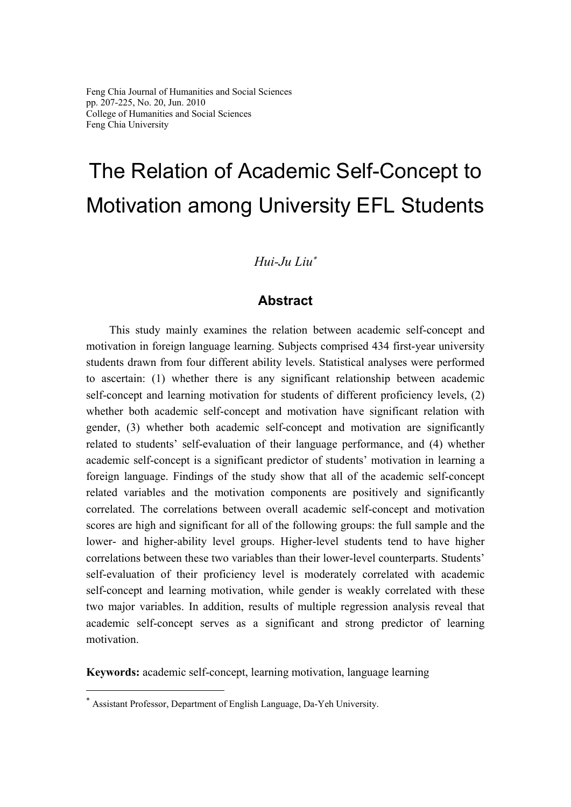# The Relation of Academic Self-Concept to Motivation among University EFL Students

## *Hui-Ju Liu*<sup>∗</sup>

## **Abstract**

This study mainly examines the relation between academic self-concept and motivation in foreign language learning. Subjects comprised 434 first-year university students drawn from four different ability levels. Statistical analyses were performed to ascertain: (1) whether there is any significant relationship between academic self-concept and learning motivation for students of different proficiency levels, (2) whether both academic self-concept and motivation have significant relation with gender, (3) whether both academic self-concept and motivation are significantly related to students' self-evaluation of their language performance, and (4) whether academic self-concept is a significant predictor of students' motivation in learning a foreign language. Findings of the study show that all of the academic self-concept related variables and the motivation components are positively and significantly correlated. The correlations between overall academic self-concept and motivation scores are high and significant for all of the following groups: the full sample and the lower- and higher-ability level groups. Higher-level students tend to have higher correlations between these two variables than their lower-level counterparts. Students' self-evaluation of their proficiency level is moderately correlated with academic self-concept and learning motivation, while gender is weakly correlated with these two major variables. In addition, results of multiple regression analysis reveal that academic self-concept serves as a significant and strong predictor of learning motivation.

**Keywords:** academic self-concept, learning motivation, language learning

 $\overline{a}$ 

<sup>∗</sup> Assistant Professor, Department of English Language, Da-Yeh University.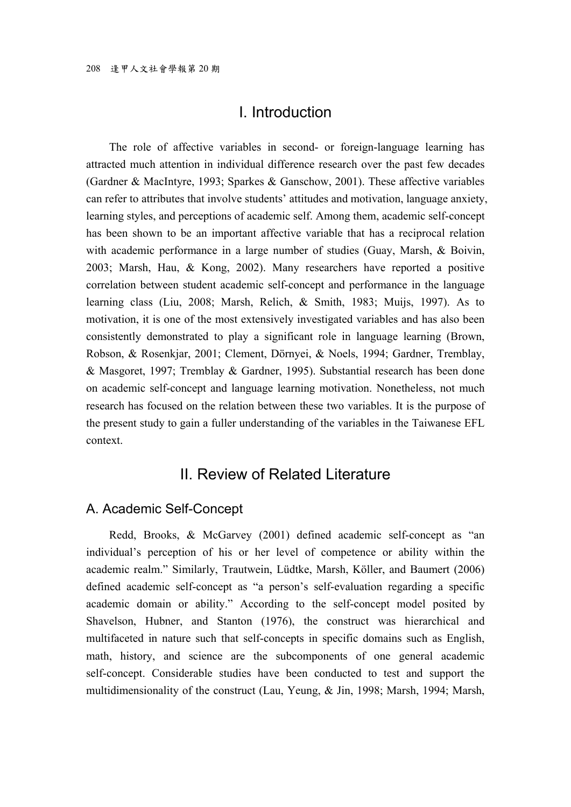## I. Introduction

The role of affective variables in second- or foreign-language learning has attracted much attention in individual difference research over the past few decades (Gardner & MacIntyre, 1993; Sparkes & Ganschow, 2001). These affective variables can refer to attributes that involve students' attitudes and motivation, language anxiety, learning styles, and perceptions of academic self. Among them, academic self-concept has been shown to be an important affective variable that has a reciprocal relation with academic performance in a large number of studies (Guay, Marsh, & Boivin, 2003; Marsh, Hau, & Kong, 2002). Many researchers have reported a positive correlation between student academic self-concept and performance in the language learning class (Liu, 2008; Marsh, Relich, & Smith, 1983; Muijs, 1997). As to motivation, it is one of the most extensively investigated variables and has also been consistently demonstrated to play a significant role in language learning (Brown, Robson, & Rosenkjar, 2001; Clement, Dörnyei, & Noels, 1994; Gardner, Tremblay, & Masgoret, 1997; Tremblay & Gardner, 1995). Substantial research has been done on academic self-concept and language learning motivation. Nonetheless, not much research has focused on the relation between these two variables. It is the purpose of the present study to gain a fuller understanding of the variables in the Taiwanese EFL context.

## II. Review of Related Literature

#### A. Academic Self-Concept

Redd, Brooks, & McGarvey (2001) defined academic self-concept as "an individual's perception of his or her level of competence or ability within the academic realm." Similarly, Trautwein, Lüdtke, Marsh, Köller, and Baumert (2006) defined academic self-concept as "a person's self-evaluation regarding a specific academic domain or ability." According to the self-concept model posited by Shavelson, Hubner, and Stanton (1976), the construct was hierarchical and multifaceted in nature such that self-concepts in specific domains such as English, math, history, and science are the subcomponents of one general academic self-concept. Considerable studies have been conducted to test and support the multidimensionality of the construct (Lau, Yeung, & Jin, 1998; Marsh, 1994; Marsh,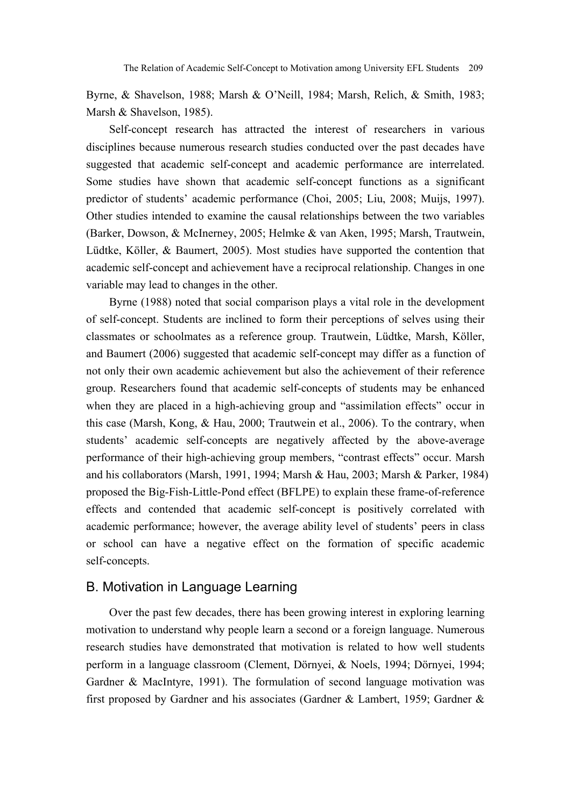Byrne, & Shavelson, 1988; Marsh & O'Neill, 1984; Marsh, Relich, & Smith, 1983; Marsh & Shavelson, 1985).

Self-concept research has attracted the interest of researchers in various disciplines because numerous research studies conducted over the past decades have suggested that academic self-concept and academic performance are interrelated. Some studies have shown that academic self-concept functions as a significant predictor of students' academic performance (Choi, 2005; Liu, 2008; Muijs, 1997). Other studies intended to examine the causal relationships between the two variables (Barker, Dowson, & McInerney, 2005; Helmke & van Aken, 1995; Marsh, Trautwein, Lüdtke, Köller, & Baumert, 2005). Most studies have supported the contention that academic self-concept and achievement have a reciprocal relationship. Changes in one variable may lead to changes in the other.

Byrne (1988) noted that social comparison plays a vital role in the development of self-concept. Students are inclined to form their perceptions of selves using their classmates or schoolmates as a reference group. Trautwein, Lüdtke, Marsh, Köller, and Baumert (2006) suggested that academic self-concept may differ as a function of not only their own academic achievement but also the achievement of their reference group. Researchers found that academic self-concepts of students may be enhanced when they are placed in a high-achieving group and "assimilation effects" occur in this case (Marsh, Kong, & Hau, 2000; Trautwein et al., 2006). To the contrary, when students' academic self-concepts are negatively affected by the above-average performance of their high-achieving group members, "contrast effects" occur. Marsh and his collaborators (Marsh, 1991, 1994; Marsh & Hau, 2003; Marsh & Parker, 1984) proposed the Big-Fish-Little-Pond effect (BFLPE) to explain these frame-of-reference effects and contended that academic self-concept is positively correlated with academic performance; however, the average ability level of students' peers in class or school can have a negative effect on the formation of specific academic self-concepts.

#### B. Motivation in Language Learning

Over the past few decades, there has been growing interest in exploring learning motivation to understand why people learn a second or a foreign language. Numerous research studies have demonstrated that motivation is related to how well students perform in a language classroom (Clement, Dörnyei, & Noels, 1994; Dörnyei, 1994; Gardner & MacIntyre, 1991). The formulation of second language motivation was first proposed by Gardner and his associates (Gardner & Lambert, 1959; Gardner &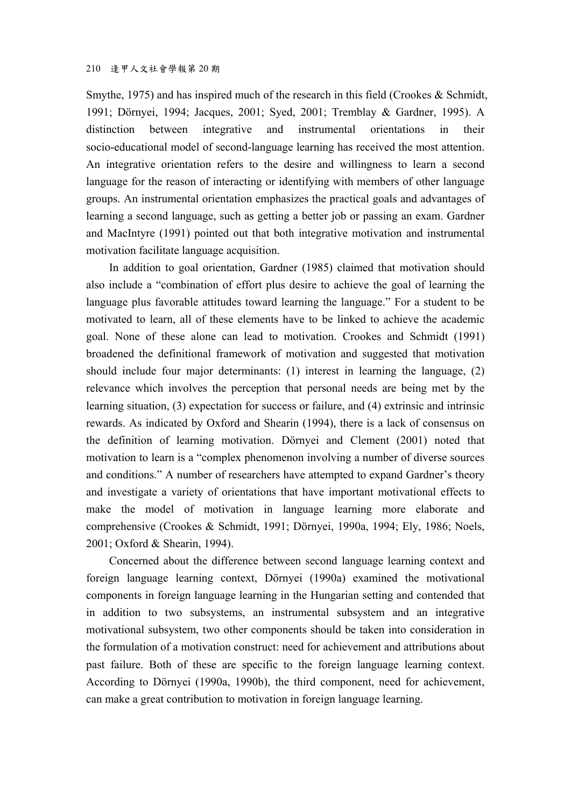Smythe, 1975) and has inspired much of the research in this field (Crookes & Schmidt, 1991; Dörnyei, 1994; Jacques, 2001; Syed, 2001; Tremblay & Gardner, 1995). A distinction between integrative and instrumental orientations in their socio-educational model of second-language learning has received the most attention. An integrative orientation refers to the desire and willingness to learn a second language for the reason of interacting or identifying with members of other language groups. An instrumental orientation emphasizes the practical goals and advantages of learning a second language, such as getting a better job or passing an exam. Gardner and MacIntyre (1991) pointed out that both integrative motivation and instrumental motivation facilitate language acquisition.

In addition to goal orientation, Gardner (1985) claimed that motivation should also include a "combination of effort plus desire to achieve the goal of learning the language plus favorable attitudes toward learning the language." For a student to be motivated to learn, all of these elements have to be linked to achieve the academic goal. None of these alone can lead to motivation. Crookes and Schmidt (1991) broadened the definitional framework of motivation and suggested that motivation should include four major determinants: (1) interest in learning the language, (2) relevance which involves the perception that personal needs are being met by the learning situation, (3) expectation for success or failure, and (4) extrinsic and intrinsic rewards. As indicated by Oxford and Shearin (1994), there is a lack of consensus on the definition of learning motivation. Dörnyei and Clement (2001) noted that motivation to learn is a "complex phenomenon involving a number of diverse sources and conditions." A number of researchers have attempted to expand Gardner's theory and investigate a variety of orientations that have important motivational effects to make the model of motivation in language learning more elaborate and comprehensive (Crookes & Schmidt, 1991; Dörnyei, 1990a, 1994; Ely, 1986; Noels, 2001; Oxford & Shearin, 1994).

Concerned about the difference between second language learning context and foreign language learning context, Dörnyei (1990a) examined the motivational components in foreign language learning in the Hungarian setting and contended that in addition to two subsystems, an instrumental subsystem and an integrative motivational subsystem, two other components should be taken into consideration in the formulation of a motivation construct: need for achievement and attributions about past failure. Both of these are specific to the foreign language learning context. According to Dörnyei (1990a, 1990b), the third component, need for achievement, can make a great contribution to motivation in foreign language learning.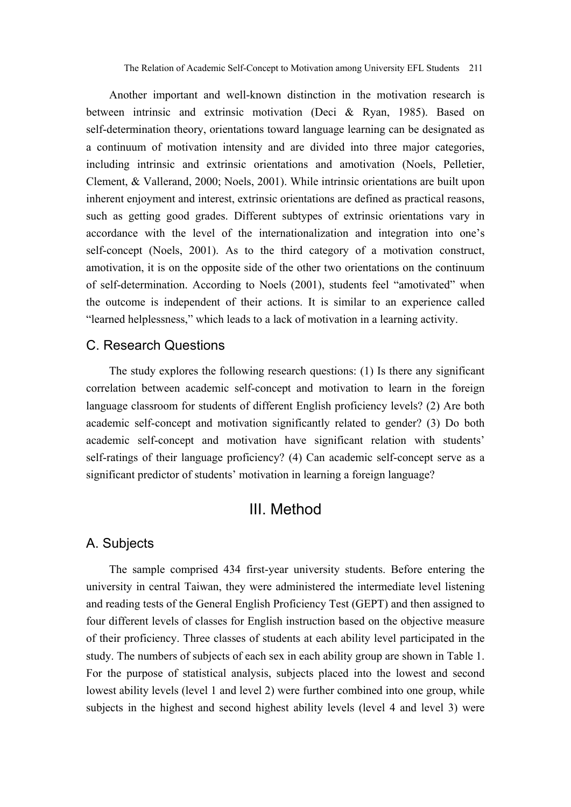Another important and well-known distinction in the motivation research is between intrinsic and extrinsic motivation (Deci & Ryan, 1985). Based on self-determination theory, orientations toward language learning can be designated as a continuum of motivation intensity and are divided into three major categories, including intrinsic and extrinsic orientations and amotivation (Noels, Pelletier, Clement, & Vallerand, 2000; Noels, 2001). While intrinsic orientations are built upon inherent enjoyment and interest, extrinsic orientations are defined as practical reasons, such as getting good grades. Different subtypes of extrinsic orientations vary in accordance with the level of the internationalization and integration into one's self-concept (Noels, 2001). As to the third category of a motivation construct, amotivation, it is on the opposite side of the other two orientations on the continuum of self-determination. According to Noels (2001), students feel "amotivated" when the outcome is independent of their actions. It is similar to an experience called "learned helplessness," which leads to a lack of motivation in a learning activity.

#### C. Research Questions

The study explores the following research questions: (1) Is there any significant correlation between academic self-concept and motivation to learn in the foreign language classroom for students of different English proficiency levels? (2) Are both academic self-concept and motivation significantly related to gender? (3) Do both academic self-concept and motivation have significant relation with students' self-ratings of their language proficiency? (4) Can academic self-concept serve as a significant predictor of students' motivation in learning a foreign language?

## III. Method

#### A. Subjects

The sample comprised 434 first-year university students. Before entering the university in central Taiwan, they were administered the intermediate level listening and reading tests of the General English Proficiency Test (GEPT) and then assigned to four different levels of classes for English instruction based on the objective measure of their proficiency. Three classes of students at each ability level participated in the study. The numbers of subjects of each sex in each ability group are shown in Table 1. For the purpose of statistical analysis, subjects placed into the lowest and second lowest ability levels (level 1 and level 2) were further combined into one group, while subjects in the highest and second highest ability levels (level 4 and level 3) were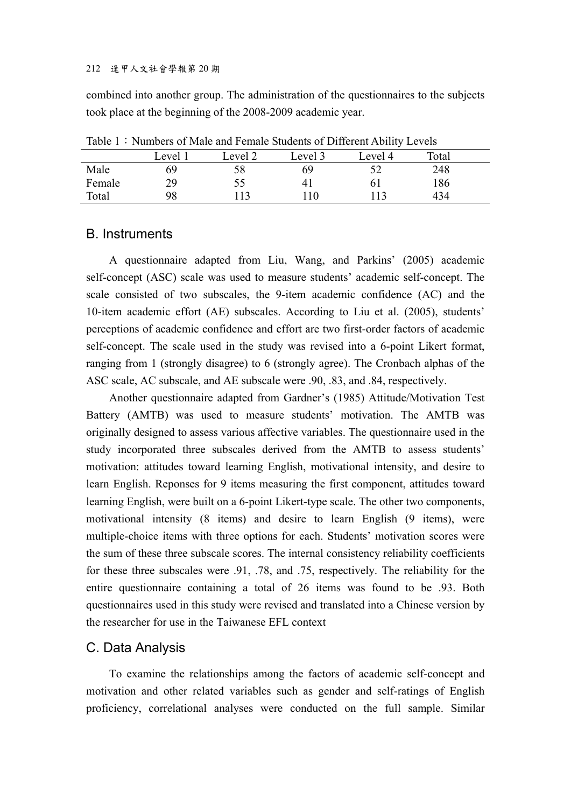#### 212 逢甲人文社會學報第 20 期

combined into another group. The administration of the questionnaires to the subjects took place at the beginning of the 2008-2009 academic year.

| TWON'T TRAINGED OF MANY WINT UNIMIC DRAWING OF D'HIVI'UNIVITY LOTUS |         |         |         |         |       |  |  |  |
|---------------------------------------------------------------------|---------|---------|---------|---------|-------|--|--|--|
|                                                                     | Level 1 | Level 2 | Level 3 | Level 4 | Total |  |  |  |
| Male                                                                | 69      | 58      | 69      | 52      | 248   |  |  |  |
| Female                                                              | 29      | 55      |         | 6 I     | 186   |  |  |  |
| Total                                                               | 98      | 113     | .10     | 113     | 434   |  |  |  |

Table 1:Numbers of Male and Female Students of Different Ability Levels

#### B. Instruments

A questionnaire adapted from Liu, Wang, and Parkins' (2005) academic self-concept (ASC) scale was used to measure students' academic self-concept. The scale consisted of two subscales, the 9-item academic confidence (AC) and the 10-item academic effort (AE) subscales. According to Liu et al. (2005), students' perceptions of academic confidence and effort are two first-order factors of academic self-concept. The scale used in the study was revised into a 6-point Likert format, ranging from 1 (strongly disagree) to 6 (strongly agree). The Cronbach alphas of the ASC scale, AC subscale, and AE subscale were .90, .83, and .84, respectively.

Another questionnaire adapted from Gardner's (1985) Attitude/Motivation Test Battery (AMTB) was used to measure students' motivation. The AMTB was originally designed to assess various affective variables. The questionnaire used in the study incorporated three subscales derived from the AMTB to assess students' motivation: attitudes toward learning English, motivational intensity, and desire to learn English. Reponses for 9 items measuring the first component, attitudes toward learning English, were built on a 6-point Likert-type scale. The other two components, motivational intensity (8 items) and desire to learn English (9 items), were multiple-choice items with three options for each. Students' motivation scores were the sum of these three subscale scores. The internal consistency reliability coefficients for these three subscales were .91, .78, and .75, respectively. The reliability for the entire questionnaire containing a total of 26 items was found to be .93. Both questionnaires used in this study were revised and translated into a Chinese version by the researcher for use in the Taiwanese EFL context

#### C. Data Analysis

To examine the relationships among the factors of academic self-concept and motivation and other related variables such as gender and self-ratings of English proficiency, correlational analyses were conducted on the full sample. Similar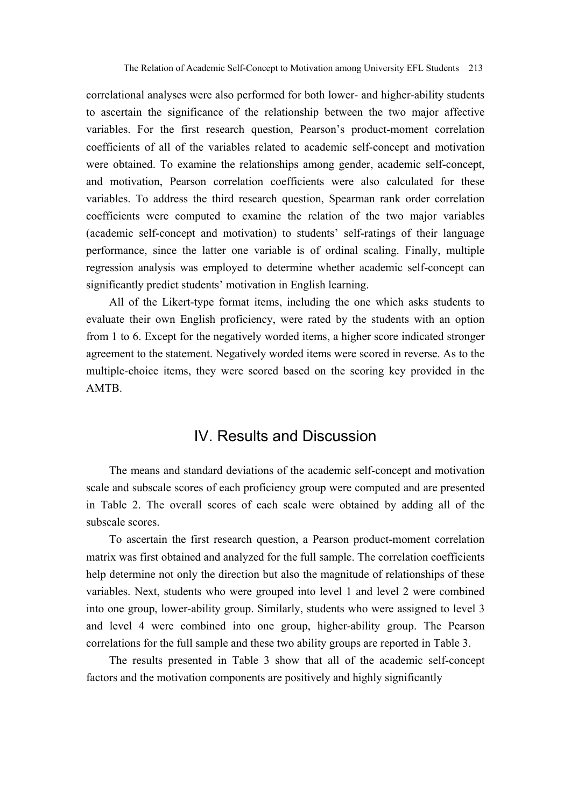correlational analyses were also performed for both lower- and higher-ability students to ascertain the significance of the relationship between the two major affective variables. For the first research question, Pearson's product-moment correlation coefficients of all of the variables related to academic self-concept and motivation were obtained. To examine the relationships among gender, academic self-concept, and motivation, Pearson correlation coefficients were also calculated for these variables. To address the third research question, Spearman rank order correlation coefficients were computed to examine the relation of the two major variables (academic self-concept and motivation) to students' self-ratings of their language performance, since the latter one variable is of ordinal scaling. Finally, multiple regression analysis was employed to determine whether academic self-concept can significantly predict students' motivation in English learning.

All of the Likert-type format items, including the one which asks students to evaluate their own English proficiency, were rated by the students with an option from 1 to 6. Except for the negatively worded items, a higher score indicated stronger agreement to the statement. Negatively worded items were scored in reverse. As to the multiple-choice items, they were scored based on the scoring key provided in the AMTB.

## IV. Results and Discussion

The means and standard deviations of the academic self-concept and motivation scale and subscale scores of each proficiency group were computed and are presented in Table 2. The overall scores of each scale were obtained by adding all of the subscale scores.

To ascertain the first research question, a Pearson product-moment correlation matrix was first obtained and analyzed for the full sample. The correlation coefficients help determine not only the direction but also the magnitude of relationships of these variables. Next, students who were grouped into level 1 and level 2 were combined into one group, lower-ability group. Similarly, students who were assigned to level 3 and level 4 were combined into one group, higher-ability group. The Pearson correlations for the full sample and these two ability groups are reported in Table 3.

The results presented in Table 3 show that all of the academic self-concept factors and the motivation components are positively and highly significantly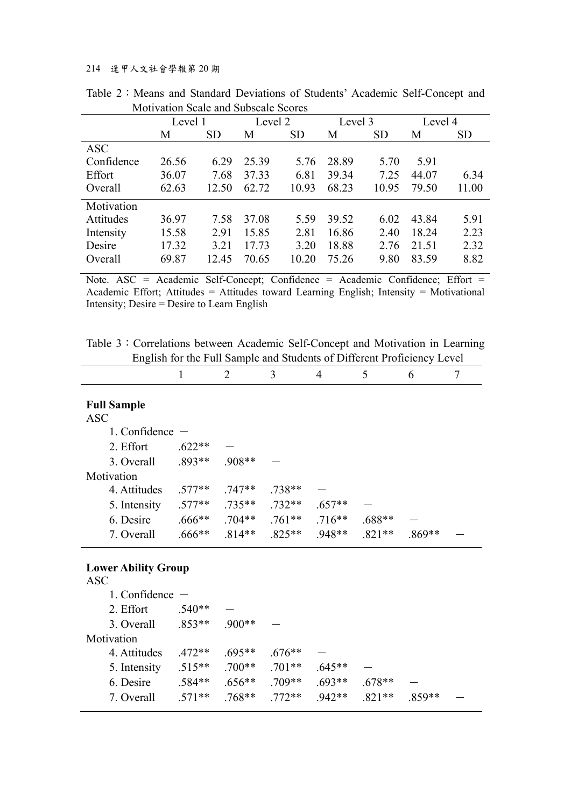#### 214 逢甲人文社會學報第 20 期

|            | Level 1 |           | Level 2 |           | Level 3 |           | Level 4 |           |
|------------|---------|-----------|---------|-----------|---------|-----------|---------|-----------|
|            | М       | <b>SD</b> | М       | <b>SD</b> | M       | <b>SD</b> | М       | <b>SD</b> |
| <b>ASC</b> |         |           |         |           |         |           |         |           |
| Confidence | 26.56   | 6.29      | 25.39   | 5.76      | 28.89   | 5.70      | 5.91    |           |
| Effort     | 36.07   | 7.68      | 37.33   | 6.81      | 39.34   | 7.25      | 44.07   | 6.34      |
| Overall    | 62.63   | 12.50     | 62.72   | 10.93     | 68.23   | 10.95     | 79.50   | 11.00     |
| Motivation |         |           |         |           |         |           |         |           |
| Attitudes  | 36.97   | 7.58      | 37.08   | 5.59      | 39.52   | 6.02      | 43.84   | 5.91      |
| Intensity  | 15.58   | 2.91      | 15.85   | 2.81      | 16.86   | 2.40      | 18.24   | 2.23      |
| Desire     | 17.32   | 3.21      | 17.73   | 3.20      | 18.88   | 2.76      | 21.51   | 2.32      |
| Overall    | 69.87   | 12.45     | 70.65   | 10.20     | 75.26   | 9.80      | 83.59   | 8.82      |

Table 2: Means and Standard Deviations of Students' Academic Self-Concept and Motivation Scale and Subscale Scores

Note. ASC = Academic Self-Concept; Confidence = Academic Confidence; Effort = Academic Effort; Attitudes = Attitudes toward Learning English; Intensity = Motivational Intensity; Desire = Desire to Learn English

Table 3: Correlations between Academic Self-Concept and Motivation in Learning English for the Full Sample and Students of Different Proficiency Level

|                                  |           |          | 3        | 4        |          | 6        |  |
|----------------------------------|-----------|----------|----------|----------|----------|----------|--|
| <b>Full Sample</b><br><b>ASC</b> |           |          |          |          |          |          |  |
| 1. Confidence                    |           |          |          |          |          |          |  |
| 2. Effort                        | $.622**$  |          |          |          |          |          |  |
| 3. Overall                       | $.893**$  | .908**   |          |          |          |          |  |
| Motivation                       |           |          |          |          |          |          |  |
| 4. Attitudes                     | $.577**$  | $.747**$ | .738**   |          |          |          |  |
| 5. Intensity                     | $.577**$  | $.735**$ | $.732**$ | $.657**$ |          |          |  |
| 6. Desire                        | $.666$ ** | $.704**$ | $.761**$ | $.716**$ | $.688**$ |          |  |
| 7. Overall                       | $.666$ ** | $.814**$ | 825**    | $.948**$ | $.821**$ | $.869**$ |  |

#### **Lower Ability Group**

| <b>ASC</b>        |          |          |          |          |          |          |  |
|-------------------|----------|----------|----------|----------|----------|----------|--|
| 1. Confidence $-$ |          |          |          |          |          |          |  |
| 2. Effort         | $.540**$ |          |          |          |          |          |  |
| 3. Overall        | $.853**$ | $.900**$ |          |          |          |          |  |
| Motivation        |          |          |          |          |          |          |  |
| 4. Attitudes      | $.472**$ | $.695**$ | $.676**$ |          |          |          |  |
| 5. Intensity      | $.515**$ | $.700**$ | $.701**$ | $.645**$ |          |          |  |
| 6. Desire         | $.584**$ | $.656**$ | $.709**$ | $.693**$ | $.678**$ |          |  |
| 7. Overall        | $.571**$ | $.768**$ | 772**    | 942**    | $.821**$ | $.859**$ |  |
|                   |          |          |          |          |          |          |  |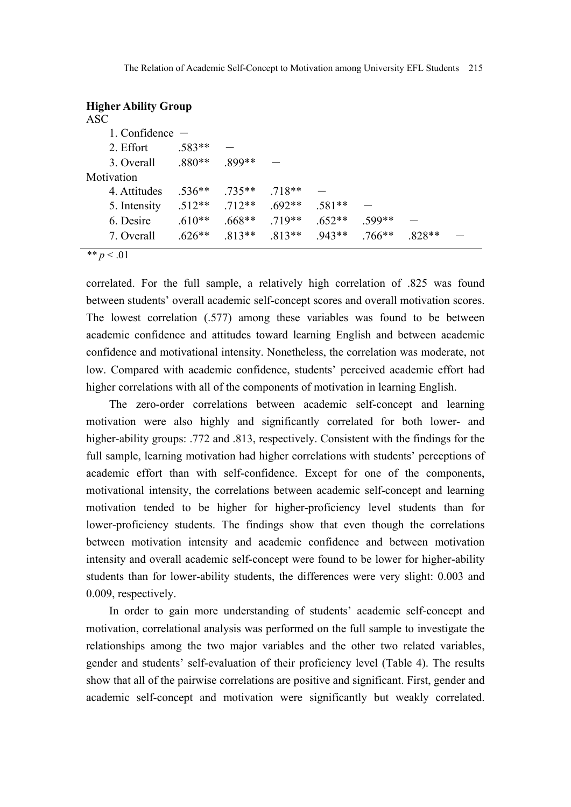|            | <b>Higher Ability Group</b> |          |          |          |          |          |          |  |
|------------|-----------------------------|----------|----------|----------|----------|----------|----------|--|
| <b>ASC</b> |                             |          |          |          |          |          |          |  |
|            | 1. Confidence $-$           |          |          |          |          |          |          |  |
|            | 2. Effort                   | $.583**$ |          |          |          |          |          |  |
|            | 3. Overall                  | $.880**$ | $.899**$ |          |          |          |          |  |
|            | Motivation                  |          |          |          |          |          |          |  |
|            | 4. Attitudes                | $.536**$ | $.735**$ | $.718**$ |          |          |          |  |
|            | 5. Intensity                | $.512**$ | $.712**$ | $.692**$ | $.581**$ |          |          |  |
|            | 6. Desire                   | $.610**$ | $.668**$ | $.719**$ | $.652**$ | .599**   |          |  |
|            | 7. Overall                  | $.626**$ | $.813**$ | $.813**$ | $.943**$ | $.766**$ | $.828**$ |  |

 $\frac{a}{p}$  *\*\* p* < .01

correlated. For the full sample, a relatively high correlation of .825 was found between students' overall academic self-concept scores and overall motivation scores. The lowest correlation (.577) among these variables was found to be between academic confidence and attitudes toward learning English and between academic confidence and motivational intensity. Nonetheless, the correlation was moderate, not low. Compared with academic confidence, students' perceived academic effort had higher correlations with all of the components of motivation in learning English.

The zero-order correlations between academic self-concept and learning motivation were also highly and significantly correlated for both lower- and higher-ability groups: .772 and .813, respectively. Consistent with the findings for the full sample, learning motivation had higher correlations with students' perceptions of academic effort than with self-confidence. Except for one of the components, motivational intensity, the correlations between academic self-concept and learning motivation tended to be higher for higher-proficiency level students than for lower-proficiency students. The findings show that even though the correlations between motivation intensity and academic confidence and between motivation intensity and overall academic self-concept were found to be lower for higher-ability students than for lower-ability students, the differences were very slight: 0.003 and 0.009, respectively.

In order to gain more understanding of students' academic self-concept and motivation, correlational analysis was performed on the full sample to investigate the relationships among the two major variables and the other two related variables, gender and students' self-evaluation of their proficiency level (Table 4). The results show that all of the pairwise correlations are positive and significant. First, gender and academic self-concept and motivation were significantly but weakly correlated.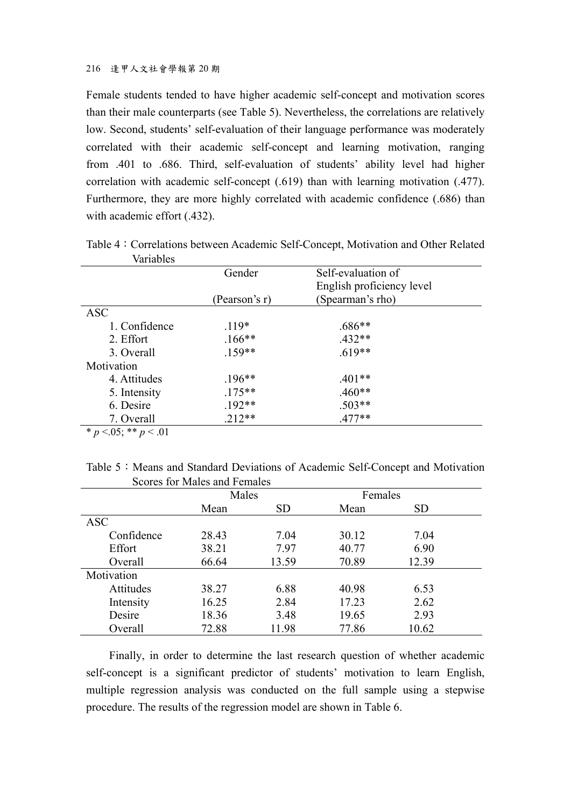#### 216 逢甲人文社會學報第 20 期

Female students tended to have higher academic self-concept and motivation scores than their male counterparts (see Table 5). Nevertheless, the correlations are relatively low. Second, students' self-evaluation of their language performance was moderately correlated with their academic self-concept and learning motivation, ranging from .401 to .686. Third, self-evaluation of students' ability level had higher correlation with academic self-concept (.619) than with learning motivation (.477). Furthermore, they are more highly correlated with academic confidence (.686) than with academic effort (.432).

| valiaules                   |               |                           |  |
|-----------------------------|---------------|---------------------------|--|
|                             | Gender        | Self-evaluation of        |  |
|                             |               | English proficiency level |  |
|                             | (Pearson's r) | (Spearman's rho)          |  |
| <b>ASC</b>                  |               |                           |  |
| 1. Confidence               | $.119*$       | $.686**$                  |  |
| 2. Effort                   | $.166***$     | $.432**$                  |  |
| 3. Overall                  | $.159**$      | $.619**$                  |  |
| Motivation                  |               |                           |  |
| 4. Attitudes                | $.196**$      | $.401**$                  |  |
| 5. Intensity                | $.175***$     | $.460**$                  |  |
| 6. Desire                   | $.192**$      | $.503**$                  |  |
| 7. Overall                  | $.212**$      | $.477**$                  |  |
| $* n - 05 \cdot * * n - 01$ |               |                           |  |

Table 4:Correlations between Academic Self-Concept, Motivation and Other Related Variables

 $p < 05$ ; \*\*  $p < 01$ 

|  |                              |  | Table 5: Means and Standard Deviations of Academic Self-Concept and Motivation |
|--|------------------------------|--|--------------------------------------------------------------------------------|
|  | Scores for Males and Females |  |                                                                                |

|            | Males<br><b>SD</b><br>Mean |       | Females |           |  |
|------------|----------------------------|-------|---------|-----------|--|
|            |                            |       | Mean    | <b>SD</b> |  |
| <b>ASC</b> |                            |       |         |           |  |
| Confidence | 28.43                      | 7.04  | 30.12   | 7.04      |  |
| Effort     | 38.21                      | 7.97  | 40.77   | 6.90      |  |
| Overall    | 66.64                      | 13.59 | 70.89   | 12.39     |  |
| Motivation |                            |       |         |           |  |
| Attitudes  | 38.27                      | 6.88  | 40.98   | 6.53      |  |
| Intensity  | 16.25                      | 2.84  | 17.23   | 2.62      |  |
| Desire     | 18.36                      | 3.48  | 19.65   | 2.93      |  |
| Overall    | 72.88                      | 11.98 | 77.86   | 10.62     |  |

Finally, in order to determine the last research question of whether academic self-concept is a significant predictor of students' motivation to learn English, multiple regression analysis was conducted on the full sample using a stepwise procedure. The results of the regression model are shown in Table 6.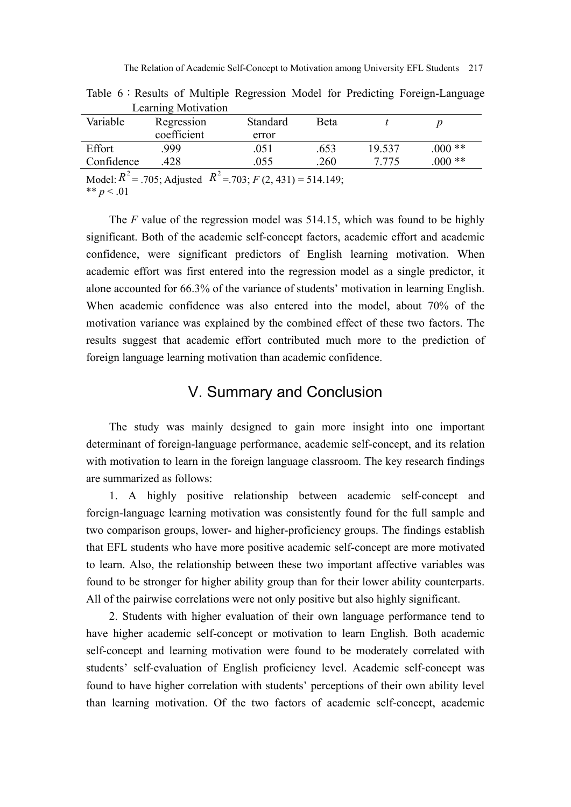|                                               | $L$ canning $L$ to $L$ and $L$ |                     |             |        |         |  |
|-----------------------------------------------|--------------------------------|---------------------|-------------|--------|---------|--|
| Variable                                      | Regression                     | Standard            | <b>Beta</b> |        |         |  |
|                                               | coefficient                    | error               |             |        |         |  |
| Effort                                        | .999                           | .051                | 653         | 19.537 | $000**$ |  |
| Confidence                                    | .428                           | .055                | 260         | 7.775  | $000**$ |  |
| $\lambda$ $\lambda$ $\lambda$ $\lambda$ $D^2$ | $\bm{D}^2$                     | $702.70431$ $71110$ |             |        |         |  |

Table 6: Results of Multiple Regression Model for Predicting Foreign-Language Learning Motivation

Model:  $R^{\text{-}} = .705$ ; Adjusted  $R^{\text{-}} = .703$ ;  $F(2, 431) = 514.149$ ; \*\*  $p < .01$ 

The *F* value of the regression model was 514.15, which was found to be highly significant. Both of the academic self-concept factors, academic effort and academic confidence, were significant predictors of English learning motivation. When academic effort was first entered into the regression model as a single predictor, it alone accounted for 66.3% of the variance of students' motivation in learning English. When academic confidence was also entered into the model, about 70% of the motivation variance was explained by the combined effect of these two factors. The results suggest that academic effort contributed much more to the prediction of foreign language learning motivation than academic confidence.

## V. Summary and Conclusion

The study was mainly designed to gain more insight into one important determinant of foreign-language performance, academic self-concept, and its relation with motivation to learn in the foreign language classroom. The key research findings are summarized as follows:

1. A highly positive relationship between academic self-concept and foreign-language learning motivation was consistently found for the full sample and two comparison groups, lower- and higher-proficiency groups. The findings establish that EFL students who have more positive academic self-concept are more motivated to learn. Also, the relationship between these two important affective variables was found to be stronger for higher ability group than for their lower ability counterparts. All of the pairwise correlations were not only positive but also highly significant.

2. Students with higher evaluation of their own language performance tend to have higher academic self-concept or motivation to learn English. Both academic self-concept and learning motivation were found to be moderately correlated with students' self-evaluation of English proficiency level. Academic self-concept was found to have higher correlation with students' perceptions of their own ability level than learning motivation. Of the two factors of academic self-concept, academic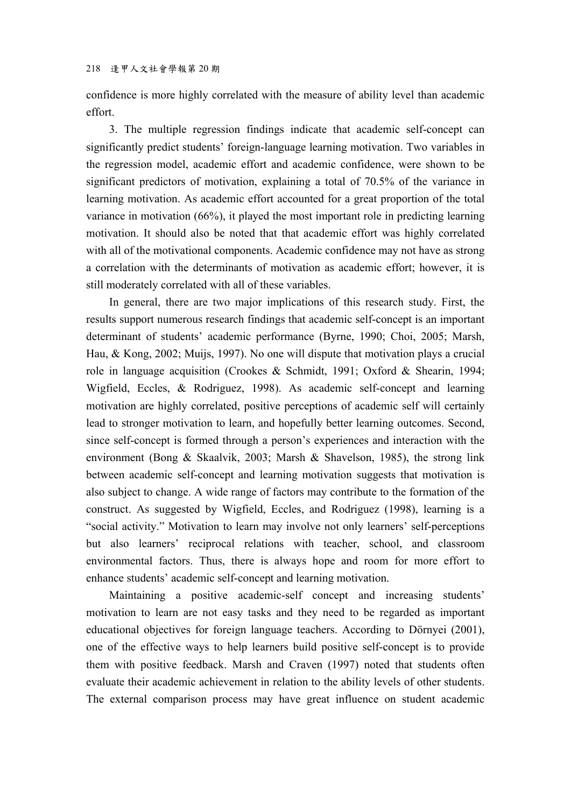confidence is more highly correlated with the measure of ability level than academic effort.

3. The multiple regression findings indicate that academic self-concept can significantly predict students' foreign-language learning motivation. Two variables in the regression model, academic effort and academic confidence, were shown to be significant predictors of motivation, explaining a total of 70.5% of the variance in learning motivation. As academic effort accounted for a great proportion of the total variance in motivation (66%), it played the most important role in predicting learning motivation. It should also be noted that that academic effort was highly correlated with all of the motivational components. Academic confidence may not have as strong a correlation with the determinants of motivation as academic effort; however, it is still moderately correlated with all of these variables.

In general, there are two major implications of this research study. First, the results support numerous research findings that academic self-concept is an important determinant of students' academic performance (Byrne, 1990; Choi, 2005; Marsh, Hau, & Kong, 2002; Muijs, 1997). No one will dispute that motivation plays a crucial role in language acquisition (Crookes & Schmidt, 1991; Oxford & Shearin, 1994; Wigfield, Eccles, & Rodriguez, 1998). As academic self-concept and learning motivation are highly correlated, positive perceptions of academic self will certainly lead to stronger motivation to learn, and hopefully better learning outcomes. Second, since self-concept is formed through a person's experiences and interaction with the environment (Bong & Skaalvik, 2003; Marsh & Shavelson, 1985), the strong link between academic self-concept and learning motivation suggests that motivation is also subject to change. A wide range of factors may contribute to the formation of the construct. As suggested by Wigfield, Eccles, and Rodriguez (1998), learning is a "social activity." Motivation to learn may involve not only learners' self-perceptions but also learners' reciprocal relations with teacher, school, and classroom environmental factors. Thus, there is always hope and room for more effort to enhance students' academic self-concept and learning motivation.

Maintaining a positive academic-self concept and increasing students' motivation to learn are not easy tasks and they need to be regarded as important educational objectives for foreign language teachers. According to Dörnyei (2001), one of the effective ways to help learners build positive self-concept is to provide them with positive feedback. Marsh and Craven (1997) noted that students often evaluate their academic achievement in relation to the ability levels of other students. The external comparison process may have great influence on student academic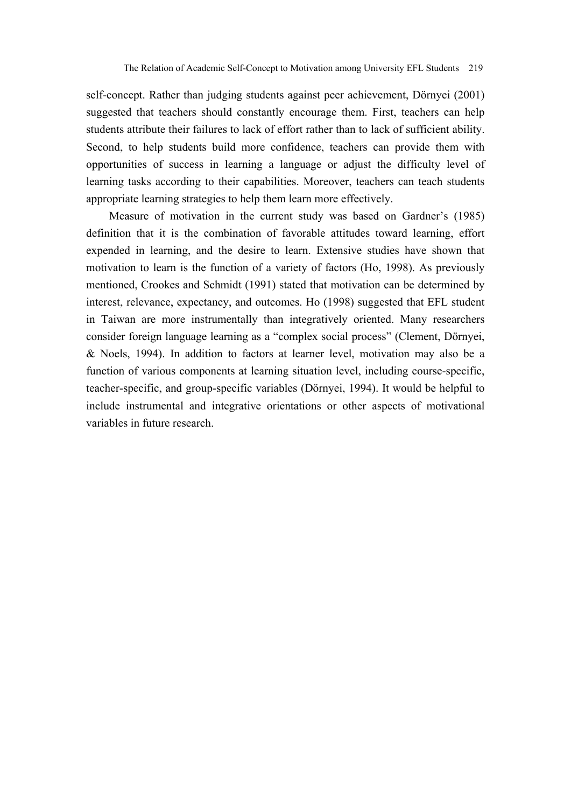self-concept. Rather than judging students against peer achievement, Dörnyei (2001) suggested that teachers should constantly encourage them. First, teachers can help students attribute their failures to lack of effort rather than to lack of sufficient ability. Second, to help students build more confidence, teachers can provide them with opportunities of success in learning a language or adjust the difficulty level of learning tasks according to their capabilities. Moreover, teachers can teach students appropriate learning strategies to help them learn more effectively.

Measure of motivation in the current study was based on Gardner's (1985) definition that it is the combination of favorable attitudes toward learning, effort expended in learning, and the desire to learn. Extensive studies have shown that motivation to learn is the function of a variety of factors (Ho, 1998). As previously mentioned, Crookes and Schmidt (1991) stated that motivation can be determined by interest, relevance, expectancy, and outcomes. Ho (1998) suggested that EFL student in Taiwan are more instrumentally than integratively oriented. Many researchers consider foreign language learning as a "complex social process" (Clement, Dörnyei, & Noels, 1994). In addition to factors at learner level, motivation may also be a function of various components at learning situation level, including course-specific, teacher-specific, and group-specific variables (Dörnyei, 1994). It would be helpful to include instrumental and integrative orientations or other aspects of motivational variables in future research.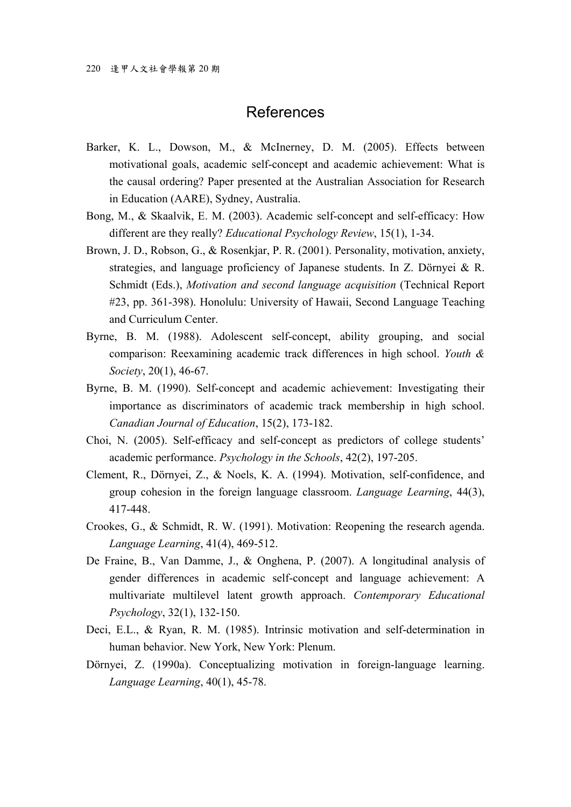## References

- Barker, K. L., Dowson, M., & McInerney, D. M. (2005). Effects between motivational goals, academic self-concept and academic achievement: What is the causal ordering? Paper presented at the Australian Association for Research in Education (AARE), Sydney, Australia.
- Bong, M., & Skaalvik, E. M. (2003). Academic self-concept and self-efficacy: How different are they really? *Educational Psychology Review*, 15(1), 1-34.
- Brown, J. D., Robson, G., & Rosenkjar, P. R. (2001). Personality, motivation, anxiety, strategies, and language proficiency of Japanese students. In Z. Dörnyei & R. Schmidt (Eds.), *Motivation and second language acquisition* (Technical Report #23, pp. 361-398). Honolulu: University of Hawaii, Second Language Teaching and Curriculum Center.
- Byrne, B. M. (1988). Adolescent self-concept, ability grouping, and social comparison: Reexamining academic track differences in high school. *Youth & Society*, 20(1), 46-67.
- Byrne, B. M. (1990). Self-concept and academic achievement: Investigating their importance as discriminators of academic track membership in high school. *Canadian Journal of Education*, 15(2), 173-182.
- Choi, N. (2005). Self-efficacy and self-concept as predictors of college students' academic performance. *Psychology in the Schools*, 42(2), 197-205.
- Clement, R., Dörnyei, Z., & Noels, K. A. (1994). Motivation, self-confidence, and group cohesion in the foreign language classroom. *Language Learning*, 44(3), 417-448.
- Crookes, G., & Schmidt, R. W. (1991). Motivation: Reopening the research agenda. *Language Learning*, 41(4), 469-512.
- De Fraine, B., Van Damme, J., & Onghena, P. (2007). A longitudinal analysis of gender differences in academic self-concept and language achievement: A multivariate multilevel latent growth approach. *Contemporary Educational Psychology*, 32(1), 132-150.
- Deci, E.L., & Ryan, R. M. (1985). Intrinsic motivation and self-determination in human behavior. New York, New York: Plenum.
- Dörnyei, Z. (1990a). Conceptualizing motivation in foreign-language learning. *Language Learning*, 40(1), 45-78.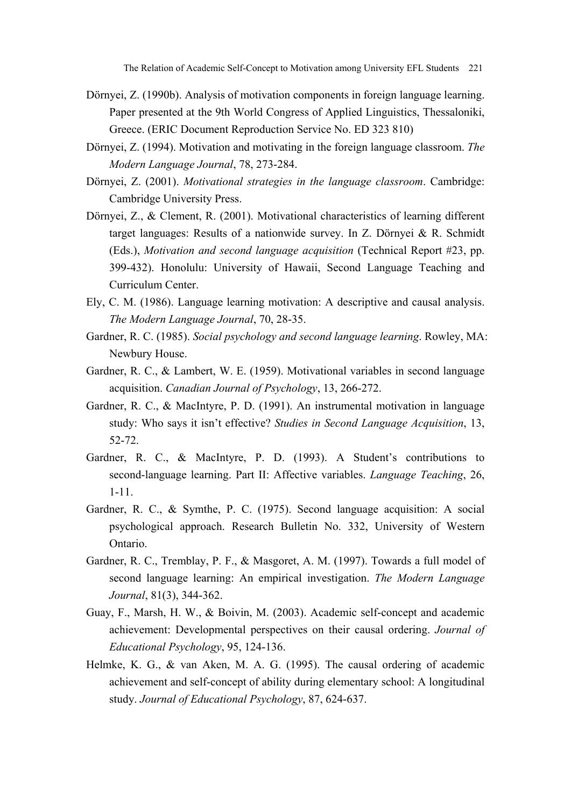- Dörnyei, Z. (1990b). Analysis of motivation components in foreign language learning. Paper presented at the 9th World Congress of Applied Linguistics, Thessaloniki, Greece. (ERIC Document Reproduction Service No. ED 323 810)
- Dörnyei, Z. (1994). Motivation and motivating in the foreign language classroom. *The Modern Language Journal*, 78, 273-284.
- Dörnyei, Z. (2001). *Motivational strategies in the language classroom*. Cambridge: Cambridge University Press.
- Dörnyei, Z., & Clement, R. (2001). Motivational characteristics of learning different target languages: Results of a nationwide survey. In Z. Dörnyei & R. Schmidt (Eds.), *Motivation and second language acquisition* (Technical Report #23, pp. 399-432). Honolulu: University of Hawaii, Second Language Teaching and Curriculum Center.
- Ely, C. M. (1986). Language learning motivation: A descriptive and causal analysis. *The Modern Language Journal*, 70, 28-35.
- Gardner, R. C. (1985). *Social psychology and second language learning*. Rowley, MA: Newbury House.
- Gardner, R. C., & Lambert, W. E. (1959). Motivational variables in second language acquisition. *Canadian Journal of Psychology*, 13, 266-272.
- Gardner, R. C., & MacIntyre, P. D. (1991). An instrumental motivation in language study: Who says it isn't effective? *Studies in Second Language Acquisition*, 13, 52-72.
- Gardner, R. C., & MacIntyre, P. D. (1993). A Student's contributions to second-language learning. Part II: Affective variables. *Language Teaching*, 26, 1-11.
- Gardner, R. C., & Symthe, P. C. (1975). Second language acquisition: A social psychological approach. Research Bulletin No. 332, University of Western Ontario.
- Gardner, R. C., Tremblay, P. F., & Masgoret, A. M. (1997). Towards a full model of second language learning: An empirical investigation. *The Modern Language Journal*, 81(3), 344-362.
- Guay, F., Marsh, H. W., & Boivin, M. (2003). Academic self-concept and academic achievement: Developmental perspectives on their causal ordering. *Journal of Educational Psychology*, 95, 124-136.
- Helmke, K. G., & van Aken, M. A. G. (1995). The causal ordering of academic achievement and self-concept of ability during elementary school: A longitudinal study. *Journal of Educational Psychology*, 87, 624-637.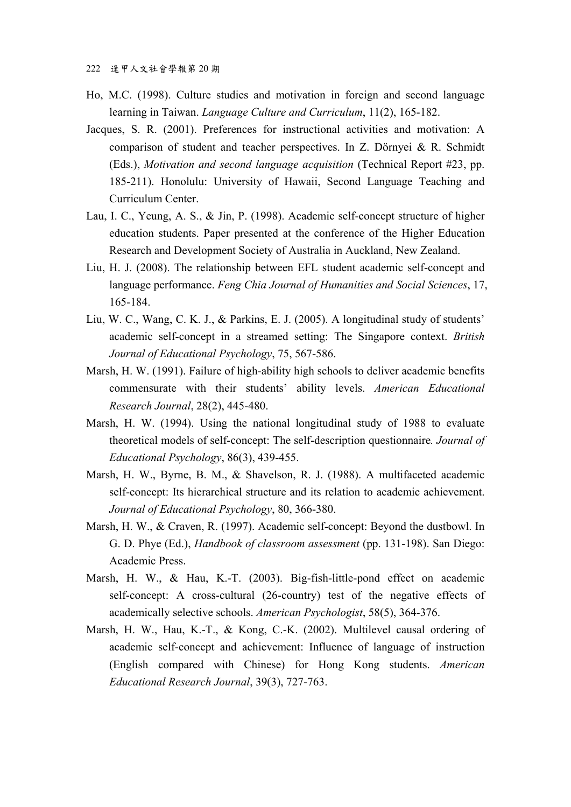- Ho, M.C. (1998). Culture studies and motivation in foreign and second language learning in Taiwan. *Language Culture and Curriculum*, 11(2), 165-182.
- Jacques, S. R. (2001). Preferences for instructional activities and motivation: A comparison of student and teacher perspectives. In Z. Dörnyei & R. Schmidt (Eds.), *Motivation and second language acquisition* (Technical Report #23, pp. 185-211). Honolulu: University of Hawaii, Second Language Teaching and Curriculum Center.
- Lau, I. C., Yeung, A. S., & Jin, P. (1998). Academic self-concept structure of higher education students. Paper presented at the conference of the Higher Education Research and Development Society of Australia in Auckland, New Zealand.
- Liu, H. J. (2008). The relationship between EFL student academic self-concept and language performance. *Feng Chia Journal of Humanities and Social Sciences*, 17, 165-184.
- Liu, W. C., Wang, C. K. J., & Parkins, E. J. (2005). A longitudinal study of students' academic self-concept in a streamed setting: The Singapore context. *British Journal of Educational Psychology*, 75, 567-586.
- Marsh, H. W. (1991). Failure of high-ability high schools to deliver academic benefits commensurate with their students' ability levels. *American Educational Research Journal*, 28(2), 445-480.
- Marsh, H. W. (1994). Using the national longitudinal study of 1988 to evaluate theoretical models of self-concept: The self-description questionnaire*. Journal of Educational Psychology*, 86(3), 439-455.
- Marsh, H. W., Byrne, B. M., & Shavelson, R. J. (1988). A multifaceted academic self-concept: Its hierarchical structure and its relation to academic achievement. *Journal of Educational Psychology*, 80, 366-380.
- Marsh, H. W., & Craven, R. (1997). Academic self-concept: Beyond the dustbowl. In G. D. Phye (Ed.), *Handbook of classroom assessment* (pp. 131-198). San Diego: Academic Press.
- Marsh, H. W., & Hau, K.-T. (2003). Big-fish-little-pond effect on academic self-concept: A cross-cultural (26-country) test of the negative effects of academically selective schools. *American Psychologist*, 58(5), 364-376.
- Marsh, H. W., Hau, K.-T., & Kong, C.-K. (2002). Multilevel causal ordering of academic self-concept and achievement: Influence of language of instruction (English compared with Chinese) for Hong Kong students. *American Educational Research Journal*, 39(3), 727-763.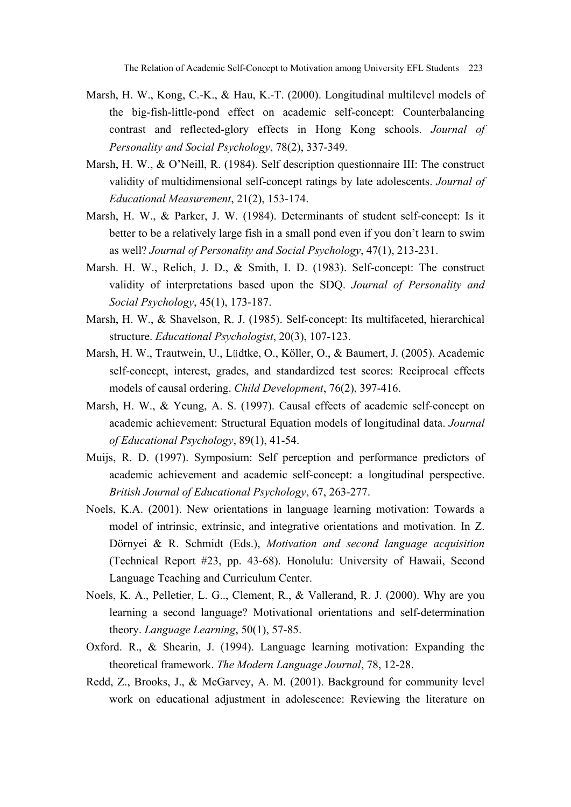The Relation of Academic Self-Concept to Motivation among University EFL Students 223

- Marsh, H. W., Kong, C.-K., & Hau, K.-T. (2000). Longitudinal multilevel models of the big-fish-little-pond effect on academic self-concept: Counterbalancing contrast and reflected-glory effects in Hong Kong schools. *Journal of Personality and Social Psychology*, 78(2), 337-349.
- Marsh, H. W., & O'Neill, R. (1984). Self description questionnaire III: The construct validity of multidimensional self-concept ratings by late adolescents. *Journal of Educational Measurement*, 21(2), 153-174.
- Marsh, H. W., & Parker, J. W. (1984). Determinants of student self-concept: Is it better to be a relatively large fish in a small pond even if you don't learn to swim as well? *Journal of Personality and Social Psychology*, 47(1), 213-231.
- Marsh. H. W., Relich, J. D., & Smith, I. D. (1983). Self-concept: The construct validity of interpretations based upon the SDQ. *Journal of Personality and Social Psychology*, 45(1), 173-187.
- Marsh, H. W., & Shavelson, R. J. (1985). Self-concept: Its multifaceted, hierarchical structure. *Educational Psychologist*, 20(3), 107-123.
- Marsh, H. W., Trautwein, U., Lüdtke, O., Köller, O., & Baumert, J. (2005). Academic self-concept, interest, grades, and standardized test scores: Reciprocal effects models of causal ordering. *Child Development*, 76(2), 397-416.
- Marsh, H. W., & Yeung, A. S. (1997). Causal effects of academic self-concept on academic achievement: Structural Equation models of longitudinal data. *Journal of Educational Psychology*, 89(1), 41-54.
- Muijs, R. D. (1997). Symposium: Self perception and performance predictors of academic achievement and academic self-concept: a longitudinal perspective. *British Journal of Educational Psychology*, 67, 263-277.
- Noels, K.A. (2001). New orientations in language learning motivation: Towards a model of intrinsic, extrinsic, and integrative orientations and motivation. In Z. Dörnyei & R. Schmidt (Eds.), *Motivation and second language acquisition* (Technical Report #23, pp. 43-68). Honolulu: University of Hawaii, Second Language Teaching and Curriculum Center.
- Noels, K. A., Pelletier, L. G.., Clement, R., & Vallerand, R. J. (2000). Why are you learning a second language? Motivational orientations and self-determination theory. *Language Learning*, 50(1), 57-85.
- Oxford. R., & Shearin, J. (1994). Language learning motivation: Expanding the theoretical framework. *The Modern Language Journal*, 78, 12-28.
- Redd, Z., Brooks, J., & McGarvey, A. M. (2001). Background for community level work on educational adjustment in adolescence: Reviewing the literature on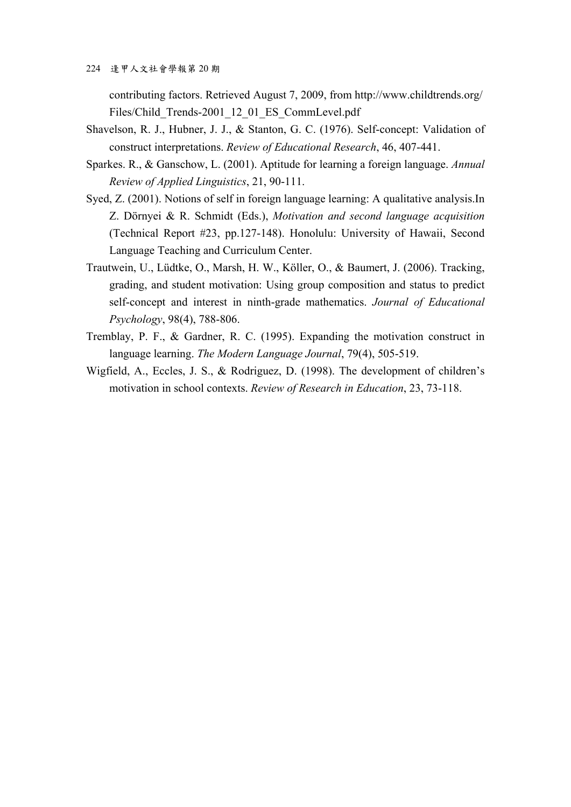contributing factors. Retrieved August 7, 2009, from http://www.childtrends.org/ Files/Child Trends-2001 12 01 ES CommLevel.pdf

- Shavelson, R. J., Hubner, J. J., & Stanton, G. C. (1976). Self-concept: Validation of construct interpretations. *Review of Educational Research*, 46, 407-441.
- Sparkes. R., & Ganschow, L. (2001). Aptitude for learning a foreign language. *Annual Review of Applied Linguistics*, 21, 90-111.
- Syed, Z. (2001). Notions of self in foreign language learning: A qualitative analysis.In Z. Dörnyei & R. Schmidt (Eds.), *Motivation and second language acquisition* (Technical Report #23, pp.127-148). Honolulu: University of Hawaii, Second Language Teaching and Curriculum Center.
- Trautwein, U., Lüdtke, O., Marsh, H. W., Köller, O., & Baumert, J. (2006). Tracking, grading, and student motivation: Using group composition and status to predict self-concept and interest in ninth-grade mathematics. *Journal of Educational Psychology*, 98(4), 788-806.
- Tremblay, P. F., & Gardner, R. C. (1995). Expanding the motivation construct in language learning. *The Modern Language Journal*, 79(4), 505-519.
- Wigfield, A., Eccles, J. S., & Rodriguez, D. (1998). The development of children's motivation in school contexts. *Review of Research in Education*, 23, 73-118.